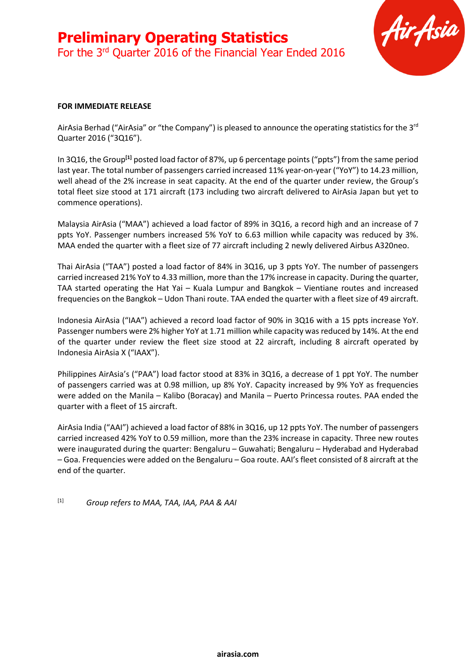

#### **FOR IMMEDIATE RELEASE**

AirAsia Berhad ("AirAsia" or "the Company") is pleased to announce the operating statistics for the 3<sup>rd</sup> Quarter 2016 ("3Q16").

In 3Q16, the Group**[1]** posted load factor of 87%, up 6 percentage points ("ppts") from the same period last year. The total number of passengers carried increased 11% year-on-year ("YoY") to 14.23 million, well ahead of the 2% increase in seat capacity. At the end of the quarter under review, the Group's total fleet size stood at 171 aircraft (173 including two aircraft delivered to AirAsia Japan but yet to commence operations).

Malaysia AirAsia ("MAA") achieved a load factor of 89% in 3Q16, a record high and an increase of 7 ppts YoY. Passenger numbers increased 5% YoY to 6.63 million while capacity was reduced by 3%. MAA ended the quarter with a fleet size of 77 aircraft including 2 newly delivered Airbus A320neo.

Thai AirAsia ("TAA") posted a load factor of 84% in 3Q16, up 3 ppts YoY. The number of passengers carried increased 21% YoY to 4.33 million, more than the 17% increase in capacity. During the quarter, TAA started operating the Hat Yai – Kuala Lumpur and Bangkok – Vientiane routes and increased frequencies on the Bangkok – Udon Thani route. TAA ended the quarter with a fleet size of 49 aircraft.

Indonesia AirAsia ("IAA") achieved a record load factor of 90% in 3Q16 with a 15 ppts increase YoY. Passenger numbers were 2% higher YoY at 1.71 million while capacity was reduced by 14%. At the end of the quarter under review the fleet size stood at 22 aircraft, including 8 aircraft operated by Indonesia AirAsia X ("IAAX").

Philippines AirAsia's ("PAA") load factor stood at 83% in 3Q16, a decrease of 1 ppt YoY. The number of passengers carried was at 0.98 million, up 8% YoY. Capacity increased by 9% YoY as frequencies were added on the Manila – Kalibo (Boracay) and Manila – Puerto Princessa routes. PAA ended the quarter with a fleet of 15 aircraft.

AirAsia India ("AAI") achieved a load factor of 88% in 3Q16, up 12 ppts YoY. The number of passengers carried increased 42% YoY to 0.59 million, more than the 23% increase in capacity. Three new routes were inaugurated during the quarter: Bengaluru – Guwahati; Bengaluru – Hyderabad and Hyderabad – Goa. Frequencies were added on the Bengaluru – Goa route. AAI's fleet consisted of 8 aircraft at the end of the quarter.

[1] *Group refers to MAA, TAA, IAA, PAA & AAI*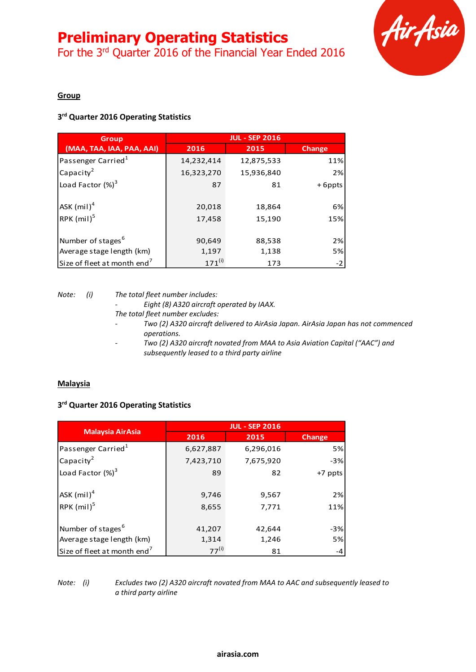# **Preliminary Operating Statistics**

For the 3<sup>rd</sup> Quarter 2016 of the Financial Year Ended 2016



# **Group**

# **3 rd Quarter 2016 Operating Statistics**

| <b>Group</b>                              | <b>JUL - SEP 2016</b> |            |               |
|-------------------------------------------|-----------------------|------------|---------------|
| (MAA, TAA, IAA, PAA, AAI)                 | 2016                  | 2015       | <b>Change</b> |
| Passenger Carried <sup>1</sup>            | 14,232,414            | 12,875,533 | 11%           |
| Capacity <sup>2</sup>                     | 16,323,270            | 15,936,840 | 2%            |
| Load Factor $(\%)^3$                      | 87                    | 81         | +6ppts        |
| $\mathsf{ASK}\left(\mathsf{mil}\right)^4$ | 20,018                | 18,864     | 6%            |
| RPK (mil) <sup>5</sup>                    | 17,458                | 15,190     | 15%           |
| Number of stages <sup>6</sup>             | 90,649                | 88,538     | 2%            |
| Average stage length (km)                 | 1,197                 | 1,138      | 5%            |
| Size of fleet at month end <sup>7</sup>   | $171^{(i)}$           | 173        | $-2$          |

*Note: (i) The total fleet number includes:*

*- Eight (8) A320 aircraft operated by IAAX. The total fleet number excludes:*

- *- Two (2) A320 aircraft delivered to AirAsia Japan. AirAsia Japan has not commenced operations.*
- *- Two (2) A320 aircraft novated from MAA to Asia Aviation Capital ("AAC") and subsequently leased to a third party airline*

# **Malaysia**

# **3 rd Quarter 2016 Operating Statistics**

|                                         | <b>JUL - SEP 2016</b> |           |         |  |
|-----------------------------------------|-----------------------|-----------|---------|--|
| <b>Malaysia AirAsia</b>                 | 2016                  | 2015      | Change  |  |
| Passenger Carried <sup>1</sup>          | 6,627,887             | 6,296,016 | 5%      |  |
| Capacity <sup>2</sup>                   | 7,423,710             | 7,675,920 | $-3%$   |  |
| Load Factor $(\%)^3$                    | 89                    | 82        | +7 ppts |  |
| $ASK$ (mil) $^4$                        | 9,746                 | 9,567     | 2%      |  |
| RPK (mil) <sup>5</sup>                  | 8,655                 | 7,771     | 11%     |  |
| Number of stages <sup>6</sup>           | 41,207                | 42,644    | $-3%$   |  |
| Average stage length (km)               | 1,314                 | 1,246     | 5%      |  |
| Size of fleet at month end <sup>7</sup> | $77^{(i)}$            | 81        | -4      |  |

*Note: (i) Excludes two (2) A320 aircraft novated from MAA to AAC and subsequently leased to a third party airline*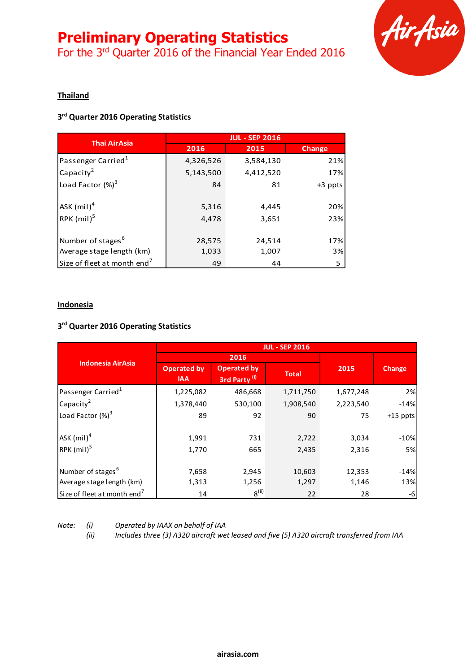# **Preliminary Operating Statistics**

For the 3<sup>rd</sup> Quarter 2016 of the Financial Year Ended 2016



# **Thailand**

# **3 rd Quarter 2016 Operating Statistics**

|                                           | <b>JUL - SEP 2016</b> |           |           |  |
|-------------------------------------------|-----------------------|-----------|-----------|--|
| <b>Thai AirAsia</b>                       | 2016                  | 2015      | Change    |  |
| Passenger Carried <sup>1</sup>            | 4,326,526             | 3,584,130 | 21%       |  |
| Capacity <sup>2</sup>                     | 5,143,500             | 4,412,520 | 17%       |  |
| Load Factor $(\%)^3$                      | 84                    | 81        | $+3$ ppts |  |
| $\mathsf{ASK}\left(\mathsf{mil}\right)^4$ | 5,316                 | 4,445     | 20%       |  |
| RPK (mil) <sup>5</sup>                    | 4,478                 | 3,651     | 23%       |  |
| Number of stages <sup>6</sup>             | 28,575                | 24,514    | 17%       |  |
| Average stage length (km)                 | 1,033                 | 1,007     | 3%        |  |
| Size of fleet at month end <sup>7</sup>   | 49                    | 44        | 5         |  |

#### **Indonesia**

### **3 rd Quarter 2016 Operating Statistics**

|                                         | <b>JUL - SEP 2016</b>            |                                                |              |           |               |
|-----------------------------------------|----------------------------------|------------------------------------------------|--------------|-----------|---------------|
|                                         | 2016                             |                                                |              |           |               |
| <b>Indonesia AirAsia</b>                | <b>Operated by</b><br><b>IAA</b> | <b>Operated by</b><br>3rd Party <sup>(i)</sup> | <b>Total</b> | 2015      | <b>Change</b> |
| Passenger Carried <sup>1</sup>          | 1,225,082                        | 486,668                                        | 1,711,750    | 1,677,248 | 2%            |
| $Ca$ pacity <sup>2</sup>                | 1,378,440                        | 530,100                                        | 1,908,540    | 2,223,540 | $-14%$        |
| Load Factor (%) <sup>3</sup>            | 89                               | 92                                             | 90           | 75        | $+15$ ppts    |
| $ASK$ (mil) <sup>4</sup>                | 1,991                            | 731                                            | 2,722        | 3,034     | $-10%$        |
| $RPK$ (mil) <sup>5</sup>                | 1,770                            | 665                                            | 2,435        | 2,316     | 5%            |
| Number of stages <sup>6</sup>           | 7,658                            | 2,945                                          | 10,603       | 12,353    | $-14%$        |
| Average stage length (km)               | 1,313                            | 1,256                                          | 1,297        | 1,146     | 13%           |
| Size of fleet at month end <sup>7</sup> | 14                               | $8^{(ii)}$                                     | 22           | 28        | -6            |

*Note: (i) Operated by IAAX on behalf of IAA*

*(ii) Includes three (3) A320 aircraft wet leased and five (5) A320 aircraft transferred from IAA*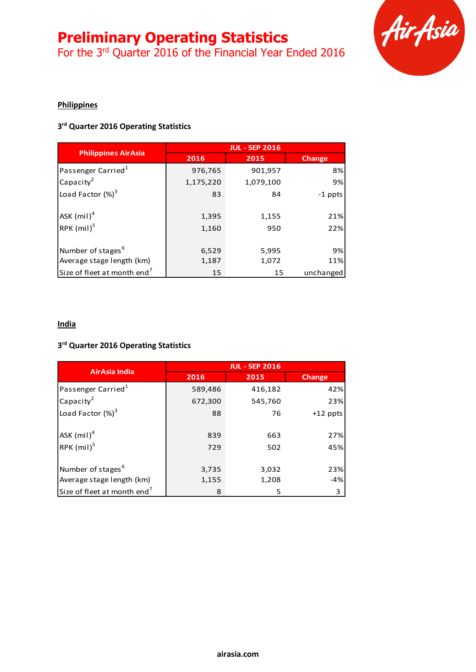# **Preliminary Operating Statistics**

For the 3<sup>rd</sup> Quarter 2016 of the Financial Year Ended 2016



# **Philippines**

# **3 rd Quarter 2016 Operating Statistics**

|                                               | <b>JUL - SEP 2016</b> |              |               |  |
|-----------------------------------------------|-----------------------|--------------|---------------|--|
| <b>Philippines AirAsia</b>                    | 2016                  | 2015         | <b>Change</b> |  |
| Passenger Carried <sup>1</sup>                | 976,765               | 901,957      | 8%            |  |
| $\sqrt{2}$ Capacity <sup>2</sup>              | 1,175,220             | 1,079,100    | 9%            |  |
| Load Factor (%) <sup>3</sup>                  | 83                    | 84           | -1 ppts       |  |
| $ $ ASK $(mil)^4$<br>$RPK$ (mil) <sup>5</sup> | 1,395<br>1,160        | 1,155<br>950 | 21%<br>22%    |  |
|                                               |                       |              |               |  |
| Number of stages <sup>6</sup>                 | 6,529                 | 5,995        | 9%            |  |
| Average stage length (km)                     | 1,187                 | 1,072        | 11%           |  |
| Size of fleet at month end <sup>7</sup>       | 15                    | 15           | unchanged     |  |

#### **India**

# **3 rd Quarter 2016 Operating Statistics**

|                                         | <b>JUL - SEP 2016</b> |         |               |  |
|-----------------------------------------|-----------------------|---------|---------------|--|
| AirAsia India                           | 2016                  | 2015    | <b>Change</b> |  |
| Passenger Carried <sup>1</sup>          | 589,486               | 416,182 | 42%           |  |
| Capacity <sup>2</sup>                   | 672,300               | 545,760 | 23%           |  |
| Load Factor $(\%)^3$                    | 88                    | 76      | $+12$ ppts    |  |
| $ASK$ (mil) $^4$                        | 839                   | 663     | 27%           |  |
| $RPK$ (mil) <sup>5</sup>                | 729                   | 502     | 45%           |  |
| Number of stages <sup>6</sup>           | 3,735                 | 3,032   | 23%           |  |
| Average stage length (km)               | 1,155                 | 1,208   | $-4%$         |  |
| Size of fleet at month end <sup>7</sup> | 8                     | 5       | 3             |  |